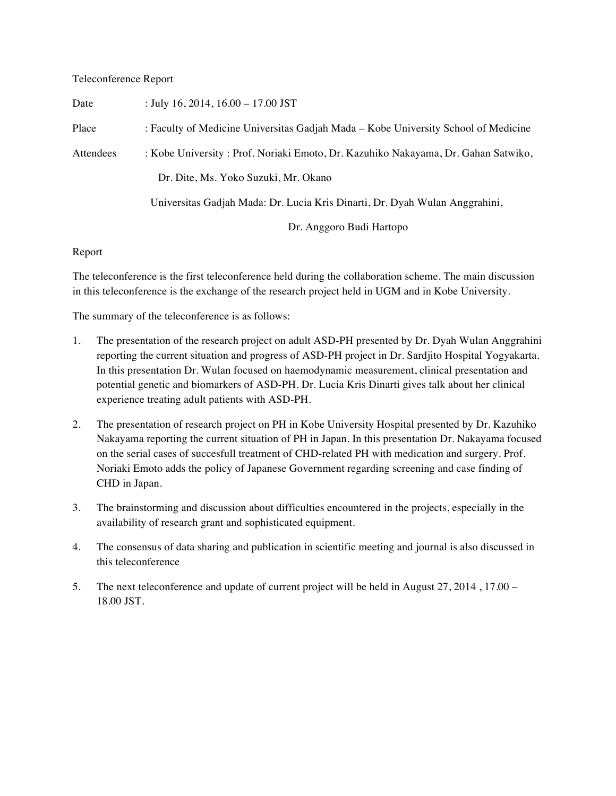## Teleconference Report

| Date      | : July 16, 2014, $16.00 - 17.00$ JST                                               |
|-----------|------------------------------------------------------------------------------------|
| Place     | : Faculty of Medicine Universitas Gadjah Mada – Kobe University School of Medicine |
| Attendees | : Kobe University : Prof. Noriaki Emoto, Dr. Kazuhiko Nakayama, Dr. Gahan Satwiko, |
|           | Dr. Dite, Ms. Yoko Suzuki, Mr. Okano                                               |
|           | Universitas Gadjah Mada: Dr. Lucia Kris Dinarti, Dr. Dyah Wulan Anggrahini,        |
|           | Dr. Anggoro Budi Hartopo                                                           |

## Report

The teleconference is the first teleconference held during the collaboration scheme. The main discussion in this teleconference is the exchange of the research project held in UGM and in Kobe University.

The summary of the teleconference is as follows:

- 1. The presentation of the research project on adult ASD-PH presented by Dr. Dyah Wulan Anggrahini reporting the current situation and progress of ASD-PH project in Dr. Sardjito Hospital Yogyakarta. In this presentation Dr. Wulan focused on haemodynamic measurement, clinical presentation and potential genetic and biomarkers of ASD-PH. Dr. Lucia Kris Dinarti gives talk about her clinical experience treating adult patients with ASD-PH.
- 2. The presentation of research project on PH in Kobe University Hospital presented by Dr. Kazuhiko Nakayama reporting the current situation of PH in Japan. In this presentation Dr. Nakayama focused on the serial cases of succesfull treatment of CHD-related PH with medication and surgery. Prof. Noriaki Emoto adds the policy of Japanese Government regarding screening and case finding of CHD in Japan.
- 3. The brainstorming and discussion about difficulties encountered in the projects, especially in the availability of research grant and sophisticated equipment.
- 4. The consensus of data sharing and publication in scientific meeting and journal is also discussed in this teleconference
- 5. The next teleconference and update of current project will be held in August 27, 2014 , 17.00 18.00 JST.